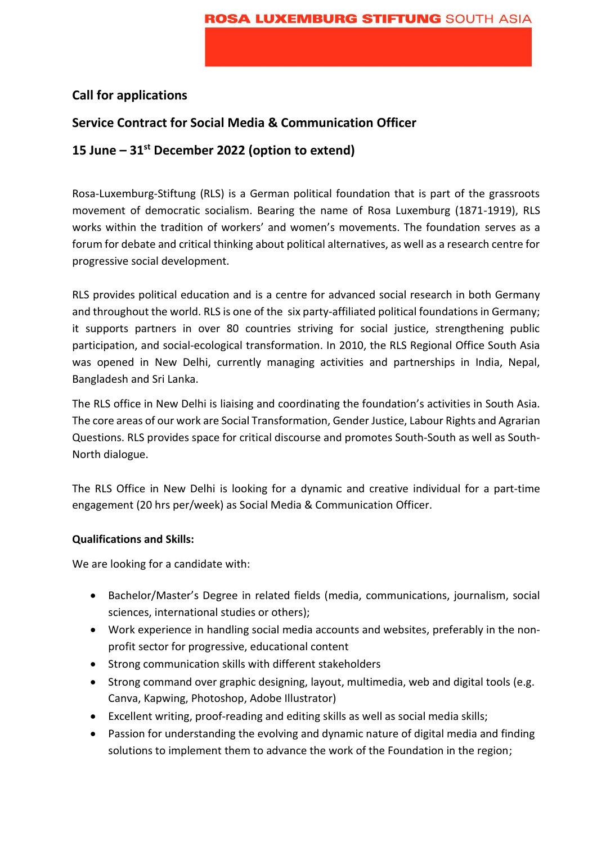# **Call for applications**

# **Service Contract for Social Media & Communication Officer**

# **15 June – 31st December 2022 (option to extend)**

Rosa-Luxemburg-Stiftung (RLS) is a German political foundation that is part of the grassroots movement of democratic socialism. Bearing the name of Rosa Luxemburg (1871-1919), RLS works within the tradition of workers' and women's movements. The foundation serves as a forum for debate and critical thinking about political alternatives, as well as a research centre for progressive social development.

RLS provides political education and is a centre for advanced social research in both Germany and throughout the world. RLS is one of the six party-affiliated political foundations in Germany; it supports partners in over 80 countries striving for social justice, strengthening public participation, and social-ecological transformation. In 2010, the RLS Regional Office South Asia was opened in New Delhi, currently managing activities and partnerships in India, Nepal, Bangladesh and Sri Lanka.

The RLS office in New Delhi is liaising and coordinating the foundation's activities in South Asia. The core areas of our work are Social Transformation, Gender Justice, Labour Rights and Agrarian Questions. RLS provides space for critical discourse and promotes South-South as well as South-North dialogue.

The RLS Office in New Delhi is looking for a dynamic and creative individual for a part-time engagement (20 hrs per/week) as Social Media & Communication Officer.

## **Qualifications and Skills:**

We are looking for a candidate with:

- Bachelor/Master's Degree in related fields (media, communications, journalism, social sciences, international studies or others);
- Work experience in handling social media accounts and websites, preferably in the nonprofit sector for progressive, educational content
- Strong communication skills with different stakeholders
- Strong command over graphic designing, layout, multimedia, web and digital tools (e.g. Canva, Kapwing, Photoshop, Adobe Illustrator)
- Excellent writing, proof-reading and editing skills as well as social media skills;
- Passion for understanding the evolving and dynamic nature of digital media and finding solutions to implement them to advance the work of the Foundation in the region;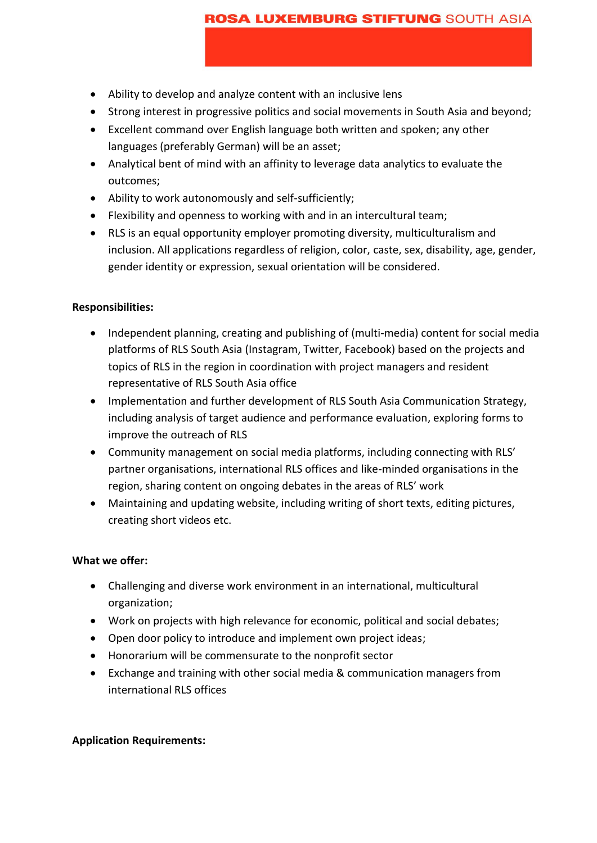### **ROSA LUXEMBURG STIFTUNG SOUTH ASIA**

- Ability to develop and analyze content with an inclusive lens
- Strong interest in progressive politics and social movements in South Asia and beyond;
- Excellent command over English language both written and spoken; any other languages (preferably German) will be an asset;
- Analytical bent of mind with an affinity to leverage data analytics to evaluate the outcomes;
- Ability to work autonomously and self-sufficiently;
- Flexibility and openness to working with and in an intercultural team;
- RLS is an equal opportunity employer promoting diversity, multiculturalism and inclusion. All applications regardless of religion, color, caste, sex, disability, age, gender, gender identity or expression, sexual orientation will be considered.

### **Responsibilities:**

- Independent planning, creating and publishing of (multi-media) content for social media platforms of RLS South Asia (Instagram, Twitter, Facebook) based on the projects and topics of RLS in the region in coordination with project managers and resident representative of RLS South Asia office
- Implementation and further development of RLS South Asia Communication Strategy, including analysis of target audience and performance evaluation, exploring forms to improve the outreach of RLS
- Community management on social media platforms, including connecting with RLS' partner organisations, international RLS offices and like-minded organisations in the region, sharing content on ongoing debates in the areas of RLS' work
- Maintaining and updating website, including writing of short texts, editing pictures, creating short videos etc.

#### **What we offer:**

- Challenging and diverse work environment in an international, multicultural organization;
- Work on projects with high relevance for economic, political and social debates;
- Open door policy to introduce and implement own project ideas;
- Honorarium will be commensurate to the nonprofit sector
- Exchange and training with other social media & communication managers from international RLS offices

## **Application Requirements:**